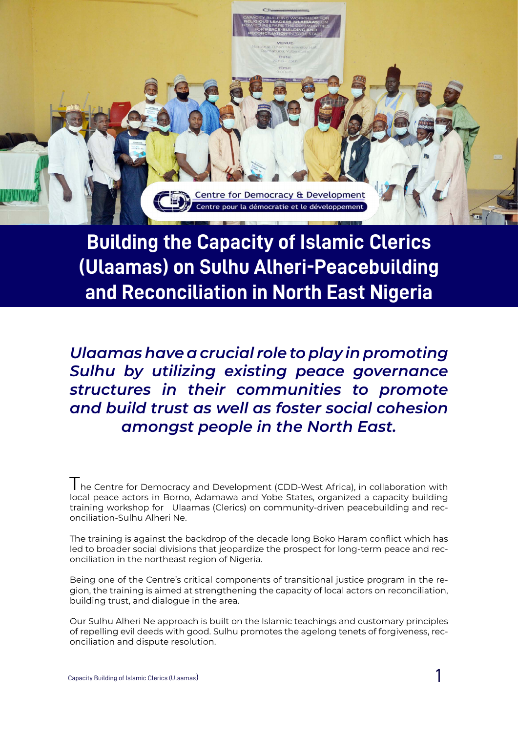Capacity Building of Islamic Clerics (Ulaamas) 1



**Building the Capacity of Islamic Clerics (Ulaamas) on Sulhu Alheri-Peacebuilding and Reconciliation in North East Nigeria**

*Ulaamas have a crucial role to play in promoting Sulhu by utilizing existing peace governance structures in their communities to promote and build trust as well as foster social cohesion amongst people in the North East.*

I he Centre for Democracy and Development (CDD-West Africa), in collaboration with local peace actors in Borno, Adamawa and Yobe States, organized a capacity building training workshop for Ulaamas (Clerics) on community-driven peacebuilding and reconciliation-Sulhu Alheri Ne.

The training is against the backdrop of the decade long Boko Haram conflict which has led to broader social divisions that jeopardize the prospect for long-term peace and reconciliation in the northeast region of Nigeria.

Being one of the Centre's critical components of transitional justice program in the region, the training is aimed at strengthening the capacity of local actors on reconciliation, building trust, and dialogue in the area.

Our Sulhu Alheri Ne approach is built on the Islamic teachings and customary principles of repelling evil deeds with good. Sulhu promotes the agelong tenets of forgiveness, reconciliation and dispute resolution.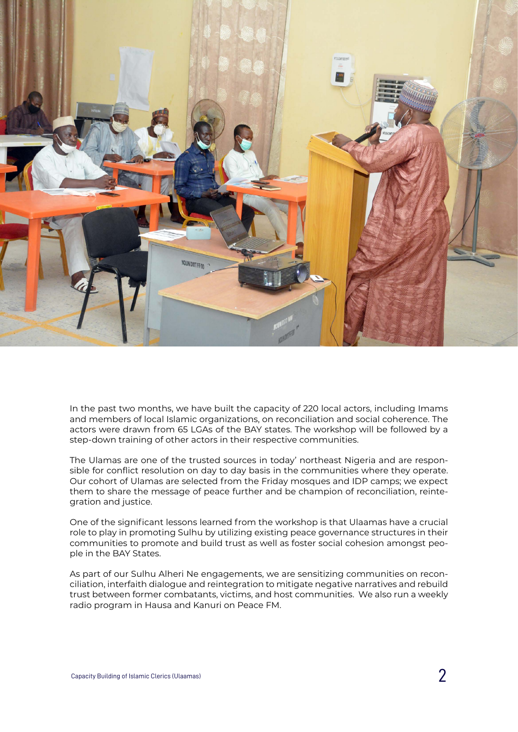

In the past two months, we have built the capacity of 220 local actors, including Imams and members of local Islamic organizations, on reconciliation and social coherence. The actors were drawn from 65 LGAs of the BAY states. The workshop will be followed by a step-down training of other actors in their respective communities.

The Ulamas are one of the trusted sources in today' northeast Nigeria and are responsible for conflict resolution on day to day basis in the communities where they operate. Our cohort of Ulamas are selected from the Friday mosques and IDP camps; we expect them to share the message of peace further and be champion of reconciliation, reintegration and justice.

One of the significant lessons learned from the workshop is that Ulaamas have a crucial role to play in promoting Sulhu by utilizing existing peace governance structures in their communities to promote and build trust as well as foster social cohesion amongst peo-

ple in the BAY States.

As part of our Sulhu Alheri Ne engagements, we are sensitizing communities on reconciliation, interfaith dialogue and reintegration to mitigate negative narratives and rebuild trust between former combatants, victims, and host communities. We also run a weekly radio program in Hausa and Kanuri on Peace FM.

Capacity Building of Islamic Clerics (Ulaamas)  $2$